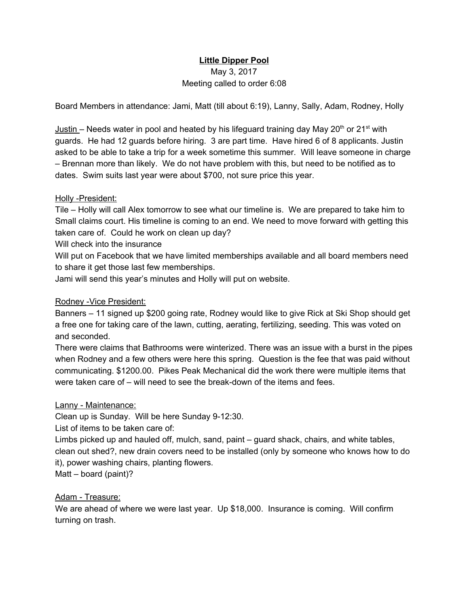# **Little Dipper Pool**

## May 3, 2017 Meeting called to order 6:08

Board Members in attendance: Jami, Matt (till about 6:19), Lanny, Sally, Adam, Rodney, Holly

Justin – Needs water in pool and heated by his lifeguard training day May 20<sup>th</sup> or 21<sup>st</sup> with guards. He had 12 guards before hiring. 3 are part time. Have hired 6 of 8 applicants. Justin asked to be able to take a trip for a week sometime this summer. Will leave someone in charge – Brennan more than likely. We do not have problem with this, but need to be notified as to dates. Swim suits last year were about \$700, not sure price this year.

#### Holly -President:

Tile – Holly will call Alex tomorrow to see what our timeline is. We are prepared to take him to Small claims court. His timeline is coming to an end. We need to move forward with getting this taken care of. Could he work on clean up day?

Will check into the insurance

Will put on Facebook that we have limited memberships available and all board members need to share it get those last few memberships.

Jami will send this year's minutes and Holly will put on website.

### Rodney -Vice President:

Banners – 11 signed up \$200 going rate, Rodney would like to give Rick at Ski Shop should get a free one for taking care of the lawn, cutting, aerating, fertilizing, seeding. This was voted on and seconded.

There were claims that Bathrooms were winterized. There was an issue with a burst in the pipes when Rodney and a few others were here this spring. Question is the fee that was paid without communicating. \$1200.00. Pikes Peak Mechanical did the work there were multiple items that were taken care of – will need to see the break-down of the items and fees.

### Lanny - Maintenance:

Clean up is Sunday. Will be here Sunday 9-12:30.

List of items to be taken care of:

Limbs picked up and hauled off, mulch, sand, paint – guard shack, chairs, and white tables, clean out shed?, new drain covers need to be installed (only by someone who knows how to do it), power washing chairs, planting flowers.

Matt – board (paint)?

### Adam - Treasure:

We are ahead of where we were last year. Up \$18,000. Insurance is coming. Will confirm turning on trash.